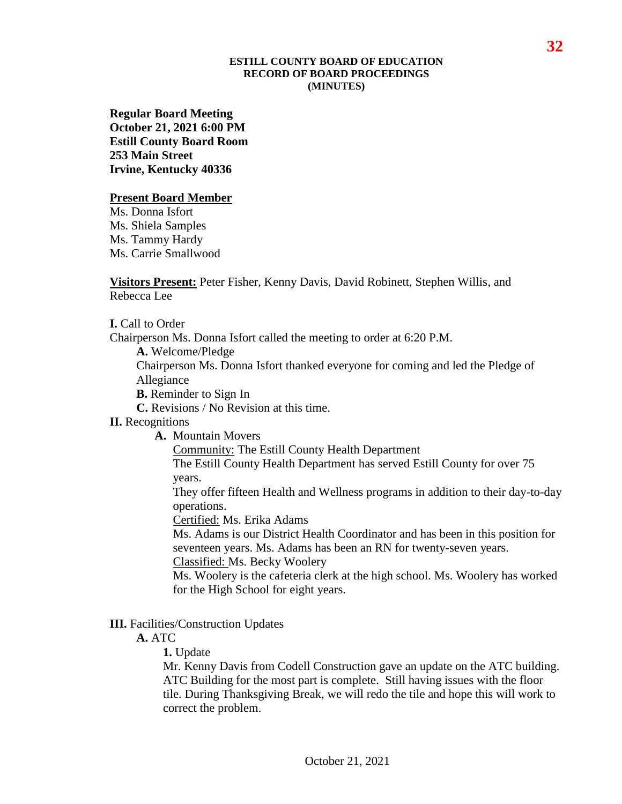## **ESTILL COUNTY BOARD OF EDUCATION RECORD OF BOARD PROCEEDINGS (MINUTES)**

**Regular Board Meeting October 21, 2021 6:00 PM Estill County Board Room 253 Main Street Irvine, Kentucky 40336**

# **Present Board Member**

Ms. Donna Isfort Ms. Shiela Samples Ms. Tammy Hardy Ms. Carrie Smallwood

**Visitors Present:** Peter Fisher, Kenny Davis, David Robinett, Stephen Willis, and Rebecca Lee

**I.** Call to Order

Chairperson Ms. Donna Isfort called the meeting to order at 6:20 P.M.

**A.** Welcome/Pledge

Chairperson Ms. Donna Isfort thanked everyone for coming and led the Pledge of Allegiance

**B.** Reminder to Sign In

**C.** Revisions / No Revision at this time.

**II.** Recognitions

**A.** Mountain Movers

Community: The Estill County Health Department

The Estill County Health Department has served Estill County for over 75 years.

They offer fifteen Health and Wellness programs in addition to their day-to-day operations.

Certified: Ms. Erika Adams

Ms. Adams is our District Health Coordinator and has been in this position for seventeen years. Ms. Adams has been an RN for twenty-seven years.

Classified: Ms. Becky Woolery

Ms. Woolery is the cafeteria clerk at the high school. Ms. Woolery has worked for the High School for eight years.

# **III.** Facilities/Construction Updates

**A.** ATC

**1.** Update

Mr. Kenny Davis from Codell Construction gave an update on the ATC building. ATC Building for the most part is complete. Still having issues with the floor tile. During Thanksgiving Break, we will redo the tile and hope this will work to correct the problem.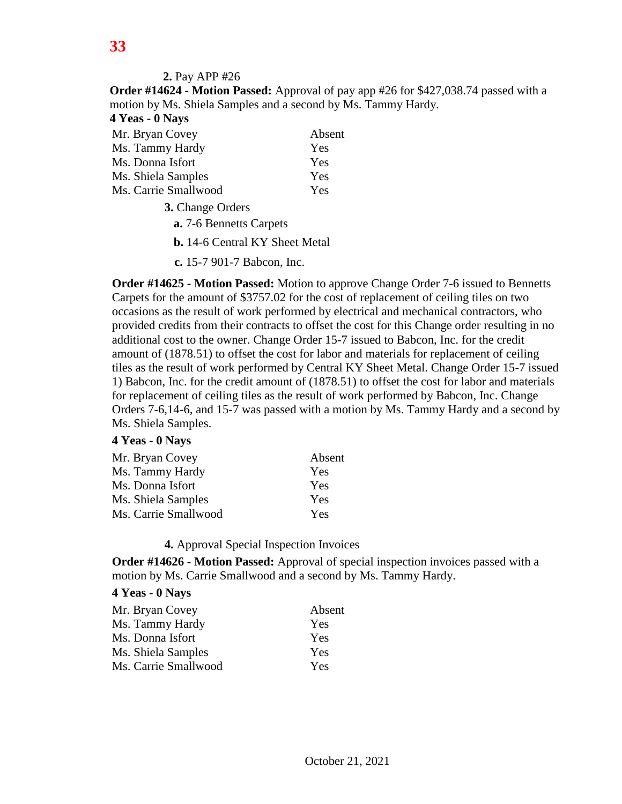## **2.** Pay APP #26

**Order #14624 - Motion Passed:** Approval of pay app #26 for \$427,038.74 passed with a motion by Ms. Shiela Samples and a second by Ms. Tammy Hardy. **4 Yeas - 0 Nays**

| T I VAD - V LIA ID   |        |
|----------------------|--------|
| Mr. Bryan Covey      | Absent |
| Ms. Tammy Hardy      | Yes    |
| Ms. Donna Isfort     | Yes    |
| Ms. Shiela Samples   | Yes    |
| Ms. Carrie Smallwood | Yes    |
|                      |        |

**3.** Change Orders

**a.** 7-6 Bennetts Carpets

**b.** 14-6 Central KY Sheet Metal

**c.** 15-7 901-7 Babcon, Inc.

**Order #14625 - Motion Passed:** Motion to approve Change Order 7-6 issued to Bennetts Carpets for the amount of \$3757.02 for the cost of replacement of ceiling tiles on two occasions as the result of work performed by electrical and mechanical contractors, who provided credits from their contracts to offset the cost for this Change order resulting in no additional cost to the owner. Change Order 15-7 issued to Babcon, Inc. for the credit amount of (1878.51) to offset the cost for labor and materials for replacement of ceiling tiles as the result of work performed by Central KY Sheet Metal. Change Order 15-7 issued 1) Babcon, Inc. for the credit amount of (1878.51) to offset the cost for labor and materials for replacement of ceiling tiles as the result of work performed by Babcon, Inc. Change Orders 7-6,14-6, and 15-7 was passed with a motion by Ms. Tammy Hardy and a second by Ms. Shiela Samples.

#### **4 Yeas - 0 Nays**

| Mr. Bryan Covey      | Absent |
|----------------------|--------|
| Ms. Tammy Hardy      | Yes    |
| Ms. Donna Isfort     | Yes    |
| Ms. Shiela Samples   | Yes    |
| Ms. Carrie Smallwood | Yes    |

**4.** Approval Special Inspection Invoices

**Order #14626 - Motion Passed:** Approval of special inspection invoices passed with a motion by Ms. Carrie Smallwood and a second by Ms. Tammy Hardy.

| Mr. Bryan Covey      | Absent |
|----------------------|--------|
| Ms. Tammy Hardy      | Yes    |
| Ms. Donna Isfort     | Yes    |
| Ms. Shiela Samples   | Yes    |
| Ms. Carrie Smallwood | Yes    |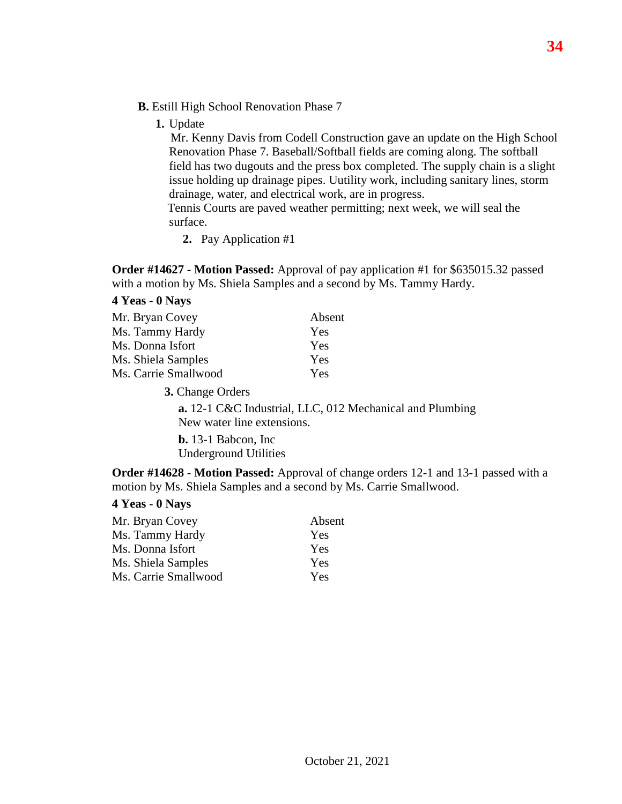- **B.** Estill High School Renovation Phase 7
	- **1.** Update

 Mr. Kenny Davis from Codell Construction gave an update on the High School Renovation Phase 7. Baseball/Softball fields are coming along. The softball field has two dugouts and the press box completed. The supply chain is a slight issue holding up drainage pipes. Uutility work, including sanitary lines, storm drainage, water, and electrical work, are in progress.

Tennis Courts are paved weather permitting; next week, we will seal the surface.

**2.** Pay Application #1

**Order #14627 - Motion Passed:** Approval of pay application #1 for \$635015.32 passed with a motion by Ms. Shiela Samples and a second by Ms. Tammy Hardy.

## **4 Yeas - 0 Nays**

| Mr. Bryan Covey      | Absent |
|----------------------|--------|
| Ms. Tammy Hardy      | Yes    |
| Ms. Donna Isfort     | Yes    |
| Ms. Shiela Samples   | Yes    |
| Ms. Carrie Smallwood | Yes    |

**3.** Change Orders

**a.** 12-1 C&C Industrial, LLC, 012 Mechanical and Plumbing New water line extensions.

**b.** 13-1 Babcon, Inc Underground Utilities

**Order #14628 - Motion Passed:** Approval of change orders 12-1 and 13-1 passed with a motion by Ms. Shiela Samples and a second by Ms. Carrie Smallwood.

| Mr. Bryan Covey      | Absent |
|----------------------|--------|
| Ms. Tammy Hardy      | Yes    |
| Ms. Donna Isfort     | Yes    |
| Ms. Shiela Samples   | Yes    |
| Ms. Carrie Smallwood | Yes    |
|                      |        |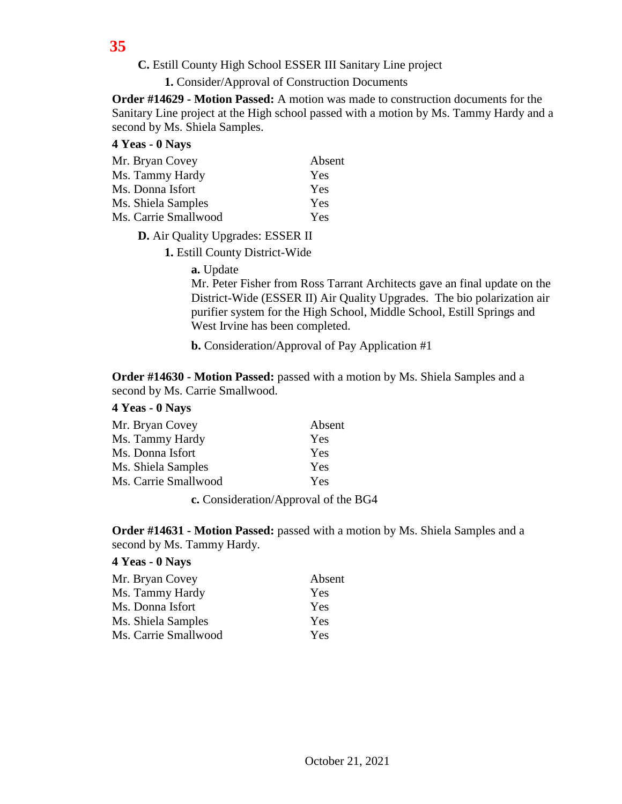**35**

**C.** Estill County High School ESSER III Sanitary Line project

**1.** Consider/Approval of Construction Documents

**Order #14629 - Motion Passed:** A motion was made to construction documents for the Sanitary Line project at the High school passed with a motion by Ms. Tammy Hardy and a second by Ms. Shiela Samples.

## **4 Yeas - 0 Nays**

| Mr. Bryan Covey      | Absent |
|----------------------|--------|
| Ms. Tammy Hardy      | Yes    |
| Ms. Donna Isfort     | Yes    |
| Ms. Shiela Samples   | Yes    |
| Ms. Carrie Smallwood | Yes    |

**D.** Air Quality Upgrades: ESSER II

**1.** Estill County District-Wide

**a.** Update

Mr. Peter Fisher from Ross Tarrant Architects gave an final update on the District-Wide (ESSER II) Air Quality Upgrades. The bio polarization air purifier system for the High School, Middle School, Estill Springs and West Irvine has been completed.

**b.** Consideration/Approval of Pay Application #1

**Order #14630 - Motion Passed:** passed with a motion by Ms. Shiela Samples and a second by Ms. Carrie Smallwood.

# **4 Yeas - 0 Nays**

| Absent |
|--------|
| Yes    |
| Yes    |
| Yes    |
| Yes    |
|        |

**c.** Consideration/Approval of the BG4

**Order #14631 - Motion Passed:** passed with a motion by Ms. Shiela Samples and a second by Ms. Tammy Hardy.

| Mr. Bryan Covey      | Absent |
|----------------------|--------|
| Ms. Tammy Hardy      | Yes    |
| Ms. Donna Isfort     | Yes    |
| Ms. Shiela Samples   | Yes    |
| Ms. Carrie Smallwood | Yes    |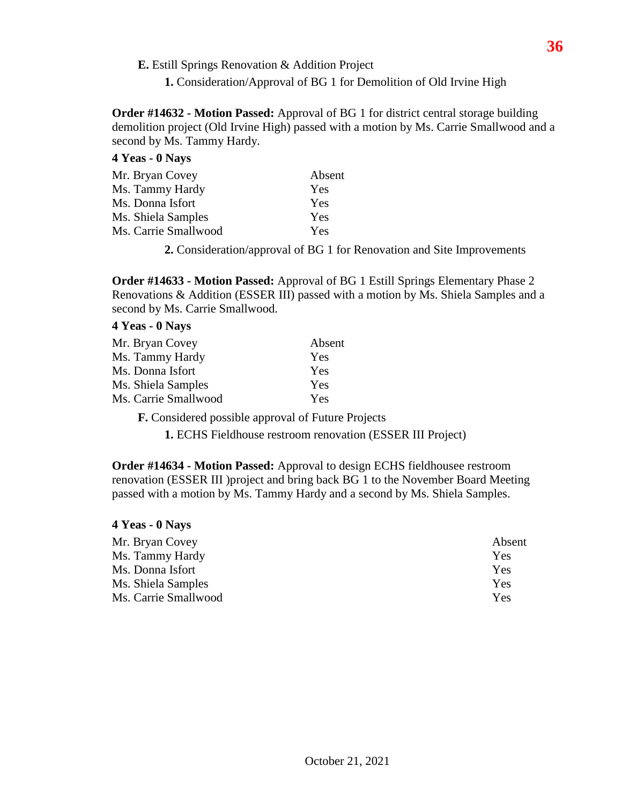**E.** Estill Springs Renovation & Addition Project

**1.** Consideration/Approval of BG 1 for Demolition of Old Irvine High

**Order #14632 - Motion Passed:** Approval of BG 1 for district central storage building demolition project (Old Irvine High) passed with a motion by Ms. Carrie Smallwood and a second by Ms. Tammy Hardy.

## **4 Yeas - 0 Nays**

| Mr. Bryan Covey      | Absent |
|----------------------|--------|
| Ms. Tammy Hardy      | Yes    |
| Ms. Donna Isfort     | Yes    |
| Ms. Shiela Samples   | Yes    |
| Ms. Carrie Smallwood | Yes    |
|                      |        |

**2.** Consideration/approval of BG 1 for Renovation and Site Improvements

**Order #14633 - Motion Passed:** Approval of BG 1 Estill Springs Elementary Phase 2 Renovations & Addition (ESSER III) passed with a motion by Ms. Shiela Samples and a second by Ms. Carrie Smallwood.

## **4 Yeas - 0 Nays**

| Mr. Bryan Covey      | Absent |
|----------------------|--------|
| Ms. Tammy Hardy      | Yes    |
| Ms. Donna Isfort     | Yes    |
| Ms. Shiela Samples   | Yes    |
| Ms. Carrie Smallwood | Yes    |

**F.** Considered possible approval of Future Projects

**1.** ECHS Fieldhouse restroom renovation (ESSER III Project)

**Order #14634 - Motion Passed:** Approval to design ECHS fieldhousee restroom renovation (ESSER III )project and bring back BG 1 to the November Board Meeting passed with a motion by Ms. Tammy Hardy and a second by Ms. Shiela Samples.

| Mr. Bryan Covey      | Absent |
|----------------------|--------|
| Ms. Tammy Hardy      | Yes    |
| Ms. Donna Isfort     | Yes    |
| Ms. Shiela Samples   | Yes    |
| Ms. Carrie Smallwood | Yes    |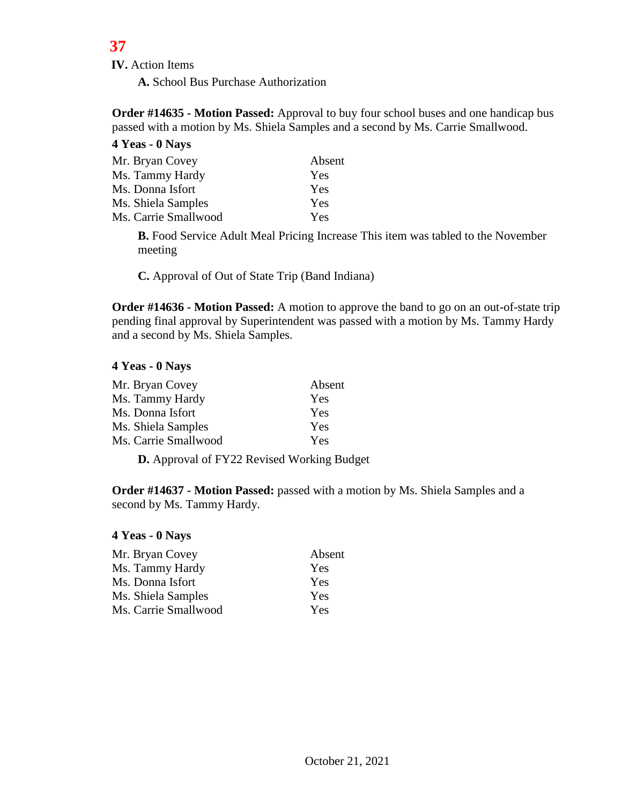# **37**

**IV.** Action Items

**A.** School Bus Purchase Authorization

**Order #14635 - Motion Passed:** Approval to buy four school buses and one handicap bus passed with a motion by Ms. Shiela Samples and a second by Ms. Carrie Smallwood.

# **4 Yeas - 0 Nays**

| Mr. Bryan Covey      | Absent |
|----------------------|--------|
| Ms. Tammy Hardy      | Yes    |
| Ms. Donna Isfort     | Yes    |
| Ms. Shiela Samples   | Yes    |
| Ms. Carrie Smallwood | Yes    |

**B.** Food Service Adult Meal Pricing Increase This item was tabled to the November meeting

**C.** Approval of Out of State Trip (Band Indiana)

**Order #14636 - Motion Passed:** A motion to approve the band to go on an out-of-state trip pending final approval by Superintendent was passed with a motion by Ms. Tammy Hardy and a second by Ms. Shiela Samples.

## **4 Yeas - 0 Nays**

| Mr. Bryan Covey      | Absent |
|----------------------|--------|
| Ms. Tammy Hardy      | Yes    |
| Ms. Donna Isfort     | Yes    |
| Ms. Shiela Samples   | Yes    |
| Ms. Carrie Smallwood | Yes    |
|                      |        |

**D.** Approval of FY22 Revised Working Budget

**Order #14637 - Motion Passed:** passed with a motion by Ms. Shiela Samples and a second by Ms. Tammy Hardy.

| Mr. Bryan Covey      | Absent |
|----------------------|--------|
| Ms. Tammy Hardy      | Yes    |
| Ms. Donna Isfort     | Yes    |
| Ms. Shiela Samples   | Yes    |
| Ms. Carrie Smallwood | Yes    |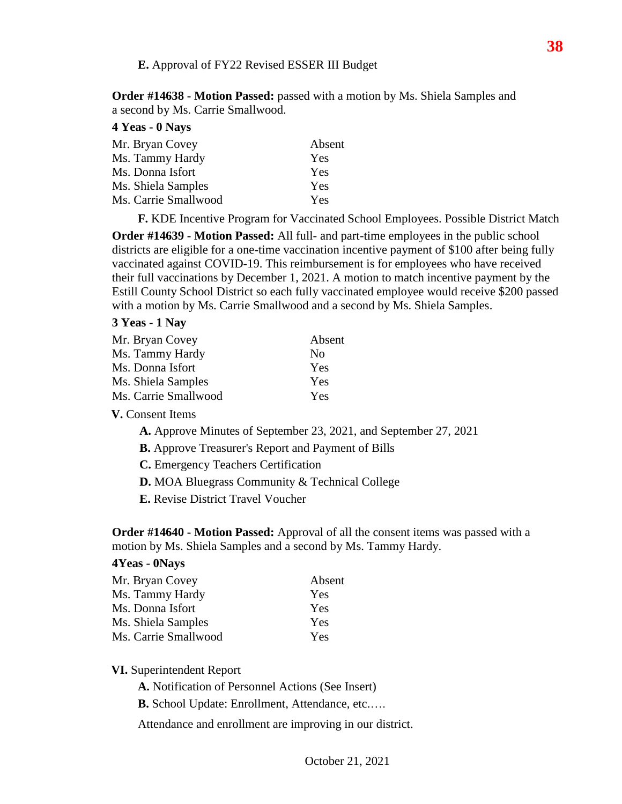**E.** Approval of FY22 Revised ESSER III Budget

**Order #14638 - Motion Passed:** passed with a motion by Ms. Shiela Samples and a second by Ms. Carrie Smallwood.

#### **4 Yeas - 0 Nays**

| Mr. Bryan Covey      | Absent |
|----------------------|--------|
| Ms. Tammy Hardy      | Yes    |
| Ms. Donna Isfort     | Yes    |
| Ms. Shiela Samples   | Yes    |
| Ms. Carrie Smallwood | Yes    |

**F.** KDE Incentive Program for Vaccinated School Employees. Possible District Match

**Order #14639 - Motion Passed:** All full- and part-time employees in the public school districts are eligible for a one-time vaccination incentive payment of \$100 after being fully vaccinated against COVID-19. This reimbursement is for employees who have received their full vaccinations by December 1, 2021. A motion to match incentive payment by the Estill County School District so each fully vaccinated employee would receive \$200 passed with a motion by Ms. Carrie Smallwood and a second by Ms. Shiela Samples.

## **3 Yeas - 1 Nay**

| Mr. Bryan Covey      | Absent |
|----------------------|--------|
| Ms. Tammy Hardy      | No     |
| Ms. Donna Isfort     | Yes    |
| Ms. Shiela Samples   | Yes    |
| Ms. Carrie Smallwood | Yes    |

## **V.** Consent Items

- **A.** Approve Minutes of September 23, 2021, and September 27, 2021
- **B.** Approve Treasurer's Report and Payment of Bills
- **C.** Emergency Teachers Certification
- **D.** MOA Bluegrass Community & Technical College
- **E.** Revise District Travel Voucher

**Order #14640 - Motion Passed:** Approval of all the consent items was passed with a motion by Ms. Shiela Samples and a second by Ms. Tammy Hardy.

#### **4Yeas - 0Nays**

| Mr. Bryan Covey      | Absent |
|----------------------|--------|
| Ms. Tammy Hardy      | Yes    |
| Ms. Donna Isfort     | Yes    |
| Ms. Shiela Samples   | Yes    |
| Ms. Carrie Smallwood | Yes    |

## **VI.** Superintendent Report

**A.** Notification of Personnel Actions (See Insert)

**B.** School Update: Enrollment, Attendance, etc.….

Attendance and enrollment are improving in our district.